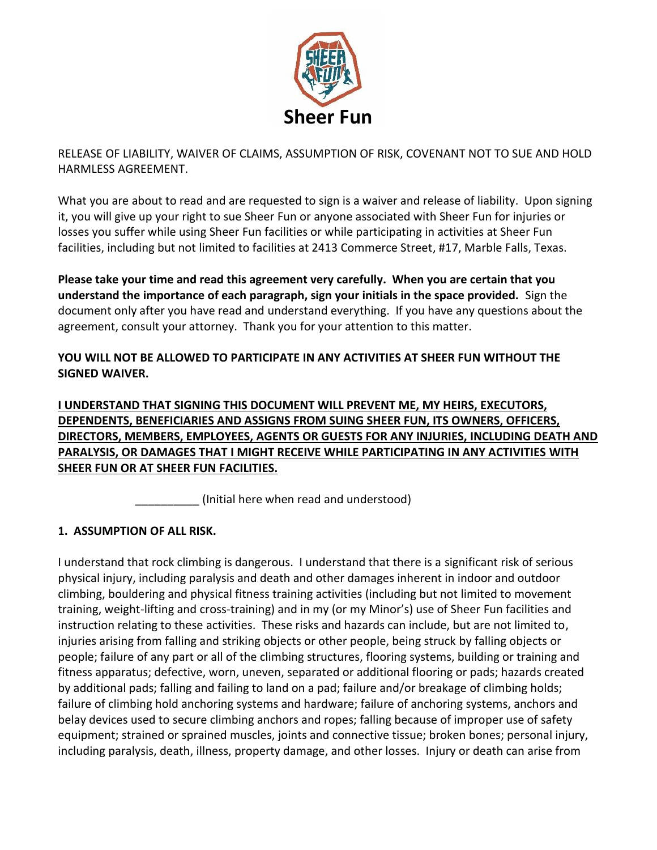

RELEASE OF LIABILITY, WAIVER OF CLAIMS, ASSUMPTION OF RISK, COVENANT NOT TO SUE AND HOLD HARMLESS AGREEMENT.

What you are about to read and are requested to sign is a waiver and release of liability. Upon signing it, you will give up your right to sue Sheer Fun or anyone associated with Sheer Fun for injuries or losses you suffer while using Sheer Fun facilities or while participating in activities at Sheer Fun facilities, including but not limited to facilities at 2413 Commerce Street, #17, Marble Falls, Texas.

**Please take your time and read this agreement very carefully. When you are certain that you understand the importance of each paragraph, sign your initials in the space provided.** Sign the document only after you have read and understand everything. If you have any questions about the agreement, consult your attorney. Thank you for your attention to this matter.

### **YOU WILL NOT BE ALLOWED TO PARTICIPATE IN ANY ACTIVITIES AT SHEER FUN WITHOUT THE SIGNED WAIVER.**

**I UNDERSTAND THAT SIGNING THIS DOCUMENT WILL PREVENT ME, MY HEIRS, EXECUTORS, DEPENDENTS, BENEFICIARIES AND ASSIGNS FROM SUING SHEER FUN, ITS OWNERS, OFFICERS, DIRECTORS, MEMBERS, EMPLOYEES, AGENTS OR GUESTS FOR ANY INJURIES, INCLUDING DEATH AND PARALYSIS, OR DAMAGES THAT I MIGHT RECEIVE WHILE PARTICIPATING IN ANY ACTIVITIES WITH SHEER FUN OR AT SHEER FUN FACILITIES.**

(Initial here when read and understood)

# **1. ASSUMPTION OF ALL RISK.**

I understand that rock climbing is dangerous. I understand that there is a significant risk of serious physical injury, including paralysis and death and other damages inherent in indoor and outdoor climbing, bouldering and physical fitness training activities (including but not limited to movement training, weight-lifting and cross-training) and in my (or my Minor's) use of Sheer Fun facilities and instruction relating to these activities. These risks and hazards can include, but are not limited to, injuries arising from falling and striking objects or other people, being struck by falling objects or people; failure of any part or all of the climbing structures, flooring systems, building or training and fitness apparatus; defective, worn, uneven, separated or additional flooring or pads; hazards created by additional pads; falling and failing to land on a pad; failure and/or breakage of climbing holds; failure of climbing hold anchoring systems and hardware; failure of anchoring systems, anchors and belay devices used to secure climbing anchors and ropes; falling because of improper use of safety equipment; strained or sprained muscles, joints and connective tissue; broken bones; personal injury, including paralysis, death, illness, property damage, and other losses. Injury or death can arise from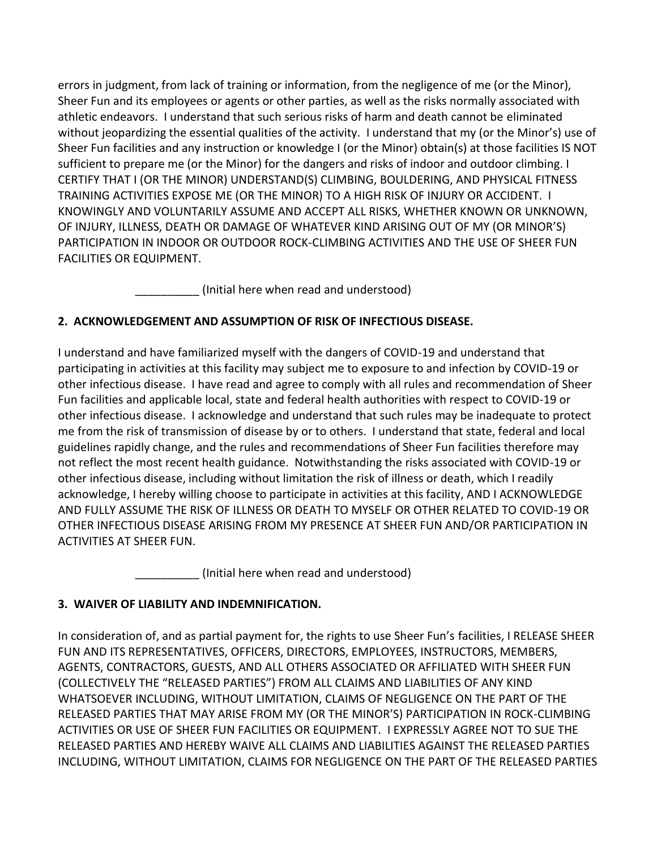errors in judgment, from lack of training or information, from the negligence of me (or the Minor), Sheer Fun and its employees or agents or other parties, as well as the risks normally associated with athletic endeavors. I understand that such serious risks of harm and death cannot be eliminated without jeopardizing the essential qualities of the activity. I understand that my (or the Minor's) use of Sheer Fun facilities and any instruction or knowledge I (or the Minor) obtain(s) at those facilities IS NOT sufficient to prepare me (or the Minor) for the dangers and risks of indoor and outdoor climbing. I CERTIFY THAT I (OR THE MINOR) UNDERSTAND(S) CLIMBING, BOULDERING, AND PHYSICAL FITNESS TRAINING ACTIVITIES EXPOSE ME (OR THE MINOR) TO A HIGH RISK OF INJURY OR ACCIDENT. I KNOWINGLY AND VOLUNTARILY ASSUME AND ACCEPT ALL RISKS, WHETHER KNOWN OR UNKNOWN, OF INJURY, ILLNESS, DEATH OR DAMAGE OF WHATEVER KIND ARISING OUT OF MY (OR MINOR'S) PARTICIPATION IN INDOOR OR OUTDOOR ROCK-CLIMBING ACTIVITIES AND THE USE OF SHEER FUN FACILITIES OR EQUIPMENT.

(Initial here when read and understood)

# **2. ACKNOWLEDGEMENT AND ASSUMPTION OF RISK OF INFECTIOUS DISEASE.**

I understand and have familiarized myself with the dangers of COVID-19 and understand that participating in activities at this facility may subject me to exposure to and infection by COVID-19 or other infectious disease. I have read and agree to comply with all rules and recommendation of Sheer Fun facilities and applicable local, state and federal health authorities with respect to COVID-19 or other infectious disease. I acknowledge and understand that such rules may be inadequate to protect me from the risk of transmission of disease by or to others. I understand that state, federal and local guidelines rapidly change, and the rules and recommendations of Sheer Fun facilities therefore may not reflect the most recent health guidance. Notwithstanding the risks associated with COVID-19 or other infectious disease, including without limitation the risk of illness or death, which I readily acknowledge, I hereby willing choose to participate in activities at this facility, AND I ACKNOWLEDGE AND FULLY ASSUME THE RISK OF ILLNESS OR DEATH TO MYSELF OR OTHER RELATED TO COVID-19 OR OTHER INFECTIOUS DISEASE ARISING FROM MY PRESENCE AT SHEER FUN AND/OR PARTICIPATION IN ACTIVITIES AT SHEER FUN.

(Initial here when read and understood)

# **3. WAIVER OF LIABILITY AND INDEMNIFICATION.**

In consideration of, and as partial payment for, the rights to use Sheer Fun's facilities, I RELEASE SHEER FUN AND ITS REPRESENTATIVES, OFFICERS, DIRECTORS, EMPLOYEES, INSTRUCTORS, MEMBERS, AGENTS, CONTRACTORS, GUESTS, AND ALL OTHERS ASSOCIATED OR AFFILIATED WITH SHEER FUN (COLLECTIVELY THE "RELEASED PARTIES") FROM ALL CLAIMS AND LIABILITIES OF ANY KIND WHATSOEVER INCLUDING, WITHOUT LIMITATION, CLAIMS OF NEGLIGENCE ON THE PART OF THE RELEASED PARTIES THAT MAY ARISE FROM MY (OR THE MINOR'S) PARTICIPATION IN ROCK-CLIMBING ACTIVITIES OR USE OF SHEER FUN FACILITIES OR EQUIPMENT. I EXPRESSLY AGREE NOT TO SUE THE RELEASED PARTIES AND HEREBY WAIVE ALL CLAIMS AND LIABILITIES AGAINST THE RELEASED PARTIES INCLUDING, WITHOUT LIMITATION, CLAIMS FOR NEGLIGENCE ON THE PART OF THE RELEASED PARTIES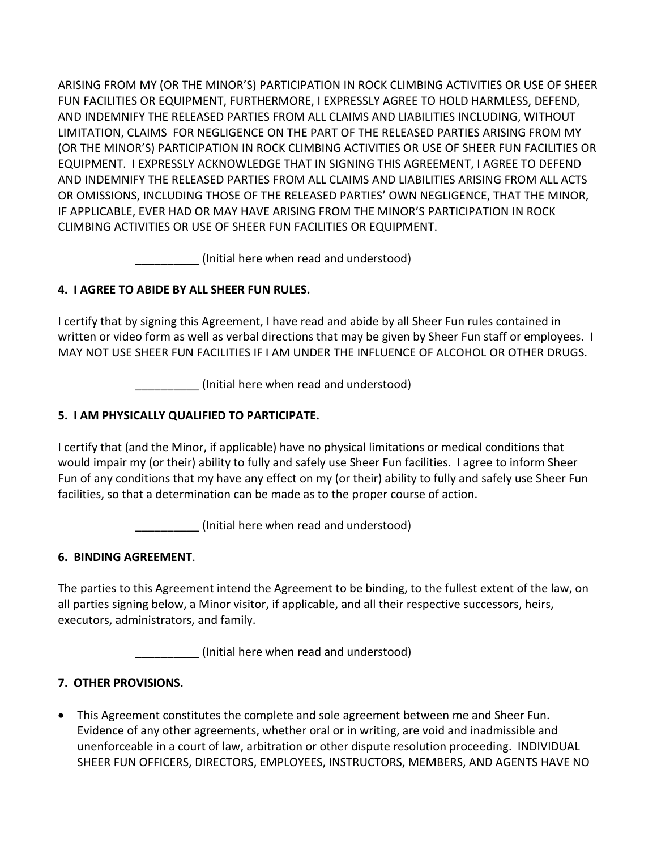ARISING FROM MY (OR THE MINOR'S) PARTICIPATION IN ROCK CLIMBING ACTIVITIES OR USE OF SHEER FUN FACILITIES OR EQUIPMENT, FURTHERMORE, I EXPRESSLY AGREE TO HOLD HARMLESS, DEFEND, AND INDEMNIFY THE RELEASED PARTIES FROM ALL CLAIMS AND LIABILITIES INCLUDING, WITHOUT LIMITATION, CLAIMS FOR NEGLIGENCE ON THE PART OF THE RELEASED PARTIES ARISING FROM MY (OR THE MINOR'S) PARTICIPATION IN ROCK CLIMBING ACTIVITIES OR USE OF SHEER FUN FACILITIES OR EQUIPMENT. I EXPRESSLY ACKNOWLEDGE THAT IN SIGNING THIS AGREEMENT, I AGREE TO DEFEND AND INDEMNIFY THE RELEASED PARTIES FROM ALL CLAIMS AND LIABILITIES ARISING FROM ALL ACTS OR OMISSIONS, INCLUDING THOSE OF THE RELEASED PARTIES' OWN NEGLIGENCE, THAT THE MINOR, IF APPLICABLE, EVER HAD OR MAY HAVE ARISING FROM THE MINOR'S PARTICIPATION IN ROCK CLIMBING ACTIVITIES OR USE OF SHEER FUN FACILITIES OR EQUIPMENT.

(Initial here when read and understood)

# **4. I AGREE TO ABIDE BY ALL SHEER FUN RULES.**

I certify that by signing this Agreement, I have read and abide by all Sheer Fun rules contained in written or video form as well as verbal directions that may be given by Sheer Fun staff or employees. I MAY NOT USE SHEER FUN FACILITIES IF I AM UNDER THE INFLUENCE OF ALCOHOL OR OTHER DRUGS.

\_\_\_\_\_\_\_\_\_\_ (Initial here when read and understood)

# **5. I AM PHYSICALLY QUALIFIED TO PARTICIPATE.**

I certify that (and the Minor, if applicable) have no physical limitations or medical conditions that would impair my (or their) ability to fully and safely use Sheer Fun facilities. I agree to inform Sheer Fun of any conditions that my have any effect on my (or their) ability to fully and safely use Sheer Fun facilities, so that a determination can be made as to the proper course of action.

\_\_\_\_\_\_\_\_\_\_ (Initial here when read and understood)

# **6. BINDING AGREEMENT**.

The parties to this Agreement intend the Agreement to be binding, to the fullest extent of the law, on all parties signing below, a Minor visitor, if applicable, and all their respective successors, heirs, executors, administrators, and family.

\_\_\_\_\_\_\_\_\_\_ (Initial here when read and understood)

# **7. OTHER PROVISIONS.**

• This Agreement constitutes the complete and sole agreement between me and Sheer Fun. Evidence of any other agreements, whether oral or in writing, are void and inadmissible and unenforceable in a court of law, arbitration or other dispute resolution proceeding. INDIVIDUAL SHEER FUN OFFICERS, DIRECTORS, EMPLOYEES, INSTRUCTORS, MEMBERS, AND AGENTS HAVE NO